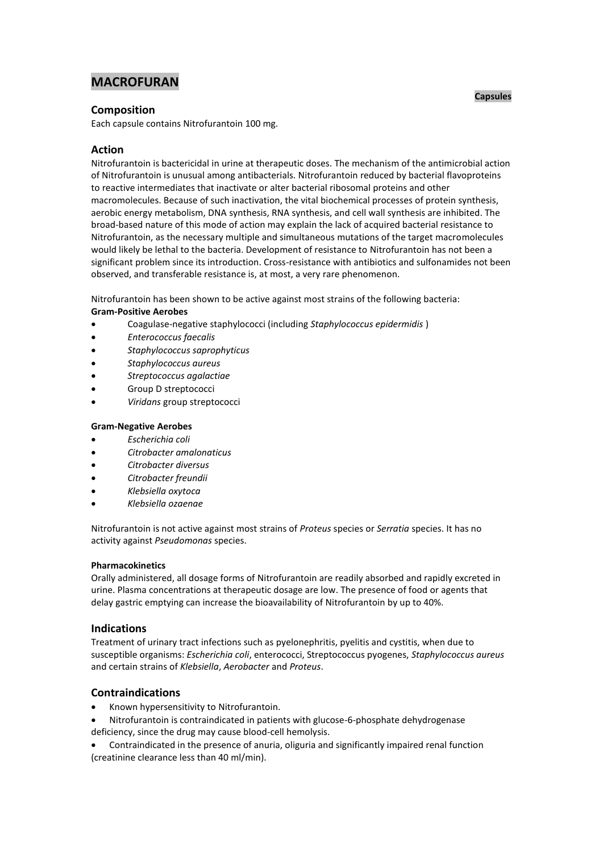# **MACROFURAN**

# **Composition**

Each capsule contains Nitrofurantoin 100 mg.

# **Action**

Nitrofurantoin is bactericidal in urine at therapeutic doses. The mechanism of the antimicrobial action of Nitrofurantoin is unusual among antibacterials. Nitrofurantoin reduced by bacterial flavoproteins to reactive intermediates that inactivate or alter bacterial ribosomal proteins and other macromolecules. Because of such inactivation, the vital biochemical processes of protein synthesis, aerobic energy metabolism, DNA synthesis, RNA synthesis, and cell wall synthesis are inhibited. The broad-based nature of this mode of action may explain the lack of acquired bacterial resistance to Nitrofurantoin, as the necessary multiple and simultaneous mutations of the target macromolecules would likely be lethal to the bacteria. Development of resistance to Nitrofurantoin has not been a significant problem since its introduction. Cross-resistance with antibiotics and sulfonamides not been observed, and transferable resistance is, at most, a very rare phenomenon.

Nitrofurantoin has been shown to be active against most strains of the following bacteria: **Gram-Positive Aerobes**

- Coagulase-negative staphylococci (including *Staphylococcus epidermidis* )
- *Enterococcus faecalis*
- *Staphylococcus saprophyticus*
- *Staphylococcus aureus*
- *Streptococcus agalactiae*
- Group D streptococci
- *Viridans* group streptococci
- **Gram-Negative Aerobes**
- *Escherichia coli*
- *Citrobacter amalonaticus*
- *Citrobacter diversus*
- *Citrobacter freundii*
- *Klebsiella oxytoca*
- *Klebsiella ozaenae*

Nitrofurantoin is not active against most strains of *Proteus* species or *Serratia* species. It has no activity against *Pseudomonas* species.

# **Pharmacokinetics**

Orally administered, all dosage forms of Nitrofurantoin are readily absorbed and rapidly excreted in urine. Plasma concentrations at therapeutic dosage are low. The presence of food or agents that delay gastric emptying can increase the bioavailability of Nitrofurantoin by up to 40%.

# **Indications**

Treatment of urinary tract infections such as pyelonephritis, pyelitis and cystitis, when due to susceptible organisms: *Escherichia coli*, enterococci, Streptococcus pyogenes, *Staphylococcus aureus* and certain strains of *Klebsiella*, *Aerobacter* and *Proteus*.

# **Contraindications**

- Known hypersensitivity to Nitrofurantoin.
- Nitrofurantoin is contraindicated in patients with glucose-6-phosphate dehydrogenase deficiency, since the drug may cause blood-cell hemolysis.
- Contraindicated in the presence of anuria, oliguria and significantly impaired renal function (creatinine clearance less than 40 ml/min).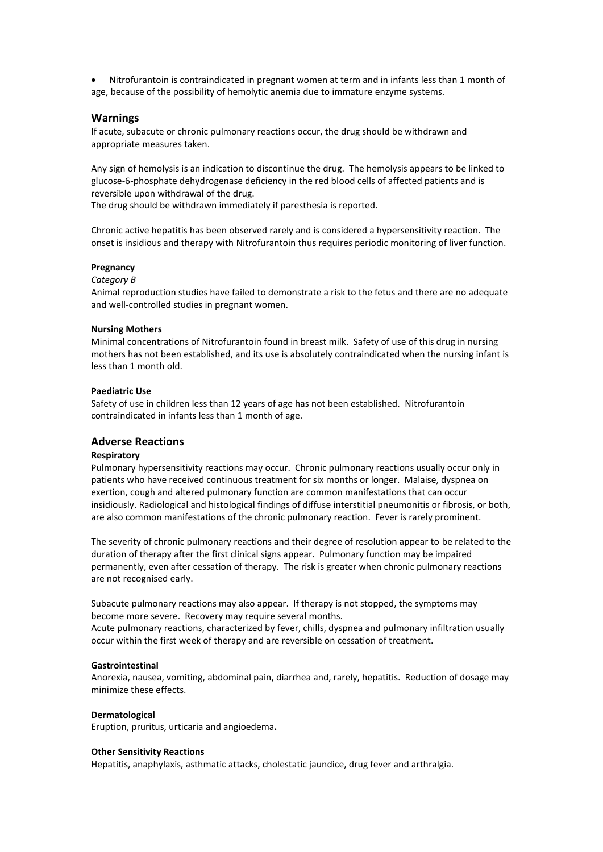Nitrofurantoin is contraindicated in pregnant women at term and in infants less than 1 month of age, because of the possibility of hemolytic anemia due to immature enzyme systems.

## **Warnings**

If acute, subacute or chronic pulmonary reactions occur, the drug should be withdrawn and appropriate measures taken.

Any sign of hemolysis is an indication to discontinue the drug. The hemolysis appears to be linked to glucose-6-phosphate dehydrogenase deficiency in the red blood cells of affected patients and is reversible upon withdrawal of the drug.

The drug should be withdrawn immediately if paresthesia is reported.

Chronic active hepatitis has been observed rarely and is considered a hypersensitivity reaction. The onset is insidious and therapy with Nitrofurantoin thus requires periodic monitoring of liver function.

#### **Pregnancy**

#### *Category B*

Animal reproduction studies have failed to demonstrate a risk to the fetus and there are no adequate and well-controlled studies in pregnant women.

#### **Nursing Mothers**

Minimal concentrations of Nitrofurantoin found in breast milk. Safety of use of this drug in nursing mothers has not been established, and its use is absolutely contraindicated when the nursing infant is less than 1 month old.

#### **Paediatric Use**

Safety of use in children less than 12 years of age has not been established. Nitrofurantoin contraindicated in infants less than 1 month of age.

# **Adverse Reactions**

### **Respiratory**

Pulmonary hypersensitivity reactions may occur. Chronic pulmonary reactions usually occur only in patients who have received continuous treatment for six months or longer. Malaise, dyspnea on exertion, cough and altered pulmonary function are common manifestations that can occur insidiously. Radiological and histological findings of diffuse interstitial pneumonitis or fibrosis, or both, are also common manifestations of the chronic pulmonary reaction. Fever is rarely prominent.

The severity of chronic pulmonary reactions and their degree of resolution appear to be related to the duration of therapy after the first clinical signs appear. Pulmonary function may be impaired permanently, even after cessation of therapy. The risk is greater when chronic pulmonary reactions are not recognised early.

Subacute pulmonary reactions may also appear. If therapy is not stopped, the symptoms may become more severe. Recovery may require several months.

Acute pulmonary reactions, characterized by fever, chills, dyspnea and pulmonary infiltration usually occur within the first week of therapy and are reversible on cessation of treatment.

#### **Gastrointestinal**

Anorexia, nausea, vomiting, abdominal pain, diarrhea and, rarely, hepatitis. Reduction of dosage may minimize these effects.

### **Dermatological**

Eruption, pruritus, urticaria and angioedema**.**

#### **Other Sensitivity Reactions**

Hepatitis, anaphylaxis, asthmatic attacks, cholestatic jaundice, drug fever and arthralgia.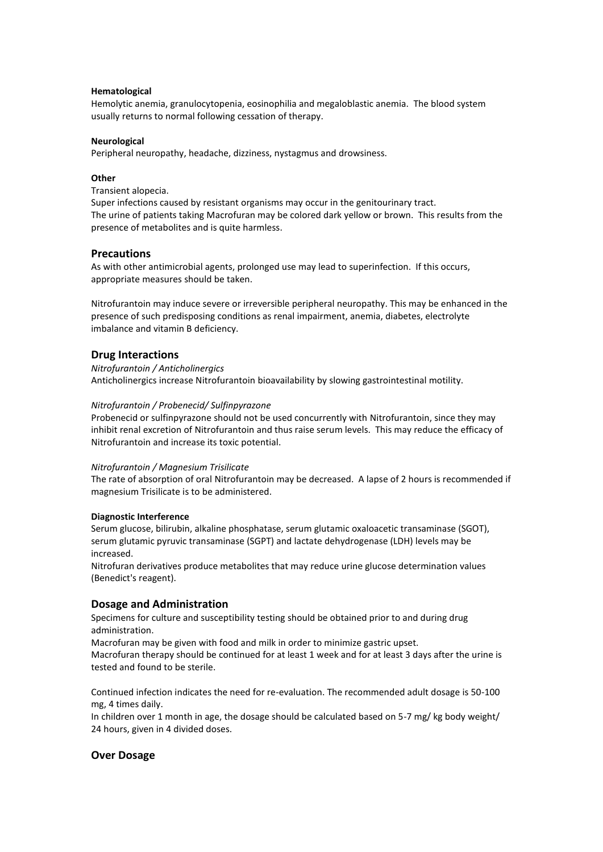# **Hematological**

Hemolytic anemia, granulocytopenia, eosinophilia and megaloblastic anemia. The blood system usually returns to normal following cessation of therapy.

### **Neurological**

Peripheral neuropathy, headache, dizziness, nystagmus and drowsiness.

#### **Other**

Transient alopecia.

Super infections caused by resistant organisms may occur in the genitourinary tract. The urine of patients taking Macrofuran may be colored dark yellow or brown. This results from the presence of metabolites and is quite harmless.

### **Precautions**

As with other antimicrobial agents, prolonged use may lead to superinfection. If this occurs, appropriate measures should be taken.

Nitrofurantoin may induce severe or irreversible peripheral neuropathy. This may be enhanced in the presence of such predisposing conditions as renal impairment, anemia, diabetes, electrolyte imbalance and vitamin B deficiency.

## **Drug Interactions**

## *Nitrofurantoin / Anticholinergics* Anticholinergics increase Nitrofurantoin bioavailability by slowing gastrointestinal motility.

### *Nitrofurantoin / Probenecid/ Sulfinpyrazone*

Probenecid or sulfinpyrazone should not be used concurrently with Nitrofurantoin, since they may inhibit renal excretion of Nitrofurantoin and thus raise serum levels. This may reduce the efficacy of Nitrofurantoin and increase its toxic potential.

### *Nitrofurantoin / Magnesium Trisilicate*

The rate of absorption of oral Nitrofurantoin may be decreased. A lapse of 2 hours is recommended if magnesium Trisilicate is to be administered.

### **Diagnostic Interference**

Serum glucose, bilirubin, alkaline phosphatase, serum glutamic oxaloacetic transaminase (SGOT), serum glutamic pyruvic transaminase (SGPT) and lactate dehydrogenase (LDH) levels may be increased.

Nitrofuran derivatives produce metabolites that may reduce urine glucose determination values (Benedict's reagent).

# **Dosage and Administration**

Specimens for culture and susceptibility testing should be obtained prior to and during drug administration.

Macrofuran may be given with food and milk in order to minimize gastric upset.

Macrofuran therapy should be continued for at least 1 week and for at least 3 days after the urine is tested and found to be sterile.

Continued infection indicates the need for re-evaluation. The recommended adult dosage is 50-100 mg, 4 times daily.

In children over 1 month in age, the dosage should be calculated based on 5-7 mg/ kg body weight/ 24 hours, given in 4 divided doses.

# **Over Dosage**